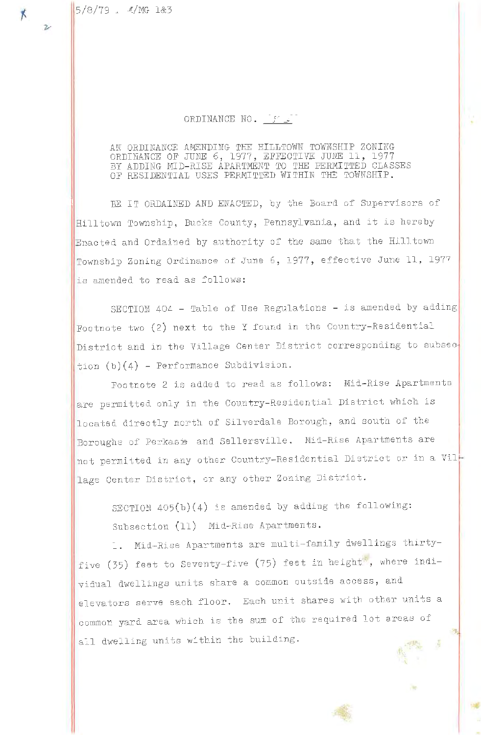## ORDINANCE NO. [f]

AN ORDINANCE AMENDING THE HILLTOWN TOWNSHIP ZONING<br>ORDINANCE OF JUNE 6, 1977, EFFECTIVE JUNE 11, 1977<br>BY ADDING MID-RISE APARTMENT TO THE PERMITTED CLASSES<br>OF RESIDENTIAL USES PERMITTED WITHIN THE TOWNSHIP.

BE IT ORDAINED AND ENACTED, by the Board of Supervisors of Hilltown Township, Bucks County, Pennsylvania, and it is hereby Enacted and Ordained by authority of the same that the Hilltown Township Zoning Ordinance of June 6, 1977, effective June 11, 1977 is amended to read as follows:

SECTION 404 - Table of Use Regulations - is amended by adding Footnote two (2) next to the Y found in the Country-Residential District and in the Village Center District corresponding to subsec- $\frac{1}{2}$ ion (b)(4) - Performance Subdivision.

Footnote 2 is added to read as follows: Mid-Rise Apartments are permitted only in the Country-Residential District which is located directly north of Silverdale Borough, and south of the Boroughs of Perkasie and Sellersville. Mid-Rise Apartments are not permitted in any other Country-Residential District or in a Village Center District, or any other Zoning District.

SECTION  $405(b)(4)$  is amended by adding the following: Subsection (11) Mid-Rise Apartments.

1. Mid-Rise Apartments are multi-family dwellings thirtyfive (35) feet to Seventy-five (75) feet in height, where individual dwellings units share a common outside access, and elevators serve each floor. Each unit shares with other units a common yard area which is the sum of the required lot areas of all dwelling units within the building.